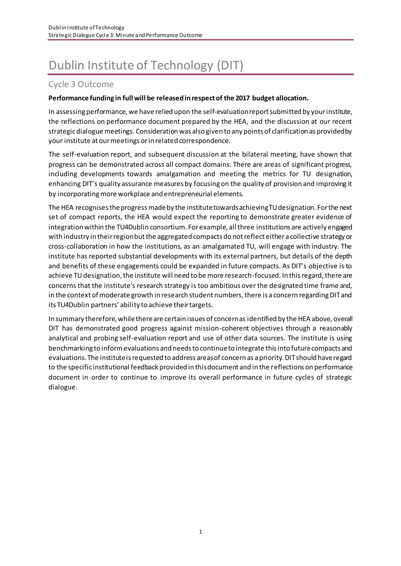# Dublin Institute of Technology (DIT)

# Cycle 3 Outcome

#### **Performance funding in full will be released in respect of the 2017 budget allocation.**

In assessing performance, we have relied upon the self-evaluation report submitted by your institute, the reflections on performance document prepared by the HEA, and the discussion at our recent strategic dialogue meetings. Consideration was also given to any points of clarification as provided by your institute at our meetings or in related correspondence.

The self-evaluation report, and subsequent discussion at the bilateral meeting, have shown that progress can be demonstrated across all compact domains. There are areas of significant progress, including developments towards amalgamation and meeting the metrics for TU designation, enhancing DIT's quality assurance measures by focusing on the quality of provision and improving it by incorporating more workplace and entrepreneurial elements.

The HEA recognises the progress made by the institute towards achieving TU designation. For the next set of compact reports, the HEA would expect the reporting to demonstrate greater evidence of integration within the TU4Dublin consortium. For example, all three institutions are actively engaged with industry in their region but the aggregated compacts do not reflect either a collective strategy or cross-collaboration in how the institutions, as an amalgamated TU, will engage with industry. The institute has reported substantial developments with its external partners, but details of the depth and benefits of these engagements could be expanded in future compacts. As DIT's objective is to achieve TU designation, the institute will need to be more research-focused. In this regard, there are concerns that the institute's research strategy is too ambitious over the designated time frame and, in the context of moderate growth in research student numbers, there is a concern regarding DIT and its TU4Dublin partners' ability to achieve their targets.

In summary therefore, while there are certain issues of concern as identified by the HEA above, overall DIT has demonstrated good progress against mission-coherent objectives through a reasonably analytical and probing self-evaluation report and use of other data sources. The institute is using benchmarking to inform evaluations and needs to continue to integrate this into future compacts and evaluations. The institute is requested to address areas of concern as a priority. DIT should have regard to the specific institutional feedback provided in this document and in the reflections on performance document in order to continue to improve its overall performance in future cycles of strategic dialogue.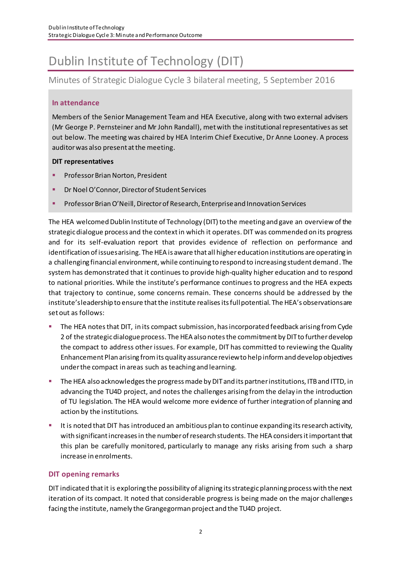# Dublin Institute of Technology (DIT)

Minutes of Strategic Dialogue Cycle 3 bilateral meeting, 5 September 2016

#### **In attendance**

Members of the Senior Management Team and HEA Executive, along with two external advisers (Mr George P. Pernsteiner and Mr John Randall), met with the institutional representatives as set out below. The meeting was chaired by HEA Interim Chief Executive, Dr Anne Looney. A process auditor was also present at the meeting.

#### **DIT representatives**

- Professor Brian Norton, President
- Dr Noel O'Connor, Director of Student Services
- Professor Brian O'Neill, Director of Research, Enterprise and Innovation Services

The HEA welcomed Dublin Institute of Technology (DIT) to the meeting and gave an overview of the strategic dialogue process and the context in which it operates.DIT was commended on its progress and for its self-evaluation report that provides evidence of reflection on performance and identification of issues arising. The HEA is aware that all higher education institutions are operating in a challenging financial environment, while continuing to respond to increasing student demand. The system has demonstrated that it continues to provide high-quality higher education and to respond to national priorities. While the institute's performance continues to progress and the HEA expects that trajectory to continue, some concerns remain. These concerns should be addressed by the institute's leadership to ensure that the institute realisesits full potential. The HEA's observations are set out as follows:

- The HEA notes that DIT, in its compact submission, has incorporated feedback arising from Cyde 2 of the strategic dialogue process. The HEA also notes the commitment by DIT to further develop the compact to address other issues. For example, DIT has committed to reviewing the Quality Enhancement Plan arising from its quality assurance review to help inform and develop objectives under the compact in areas such as teaching and learning.
- The HEA also acknowledges the progress made by DIT and its partner institutions, ITB and ITTD, in advancing the TU4D project, and notes the challenges arising from the delay in the introduction of TU legislation. The HEA would welcome more evidence of further integration of planning and action by the institutions.
- **E** It is noted that DIT has introduced an ambitious plan to continue expanding its research activity, with significant increases in the number of research students. The HEA considers it important that this plan be carefully monitored, particularly to manage any risks arising from such a sharp increase in enrolments.

#### **DIT opening remarks**

DIT indicated that it is exploring the possibility of aligning its strategic planning process with the next iteration of its compact. It noted that considerable progress is being made on the major challenges facing the institute, namely the Grangegorman project and the TU4D project.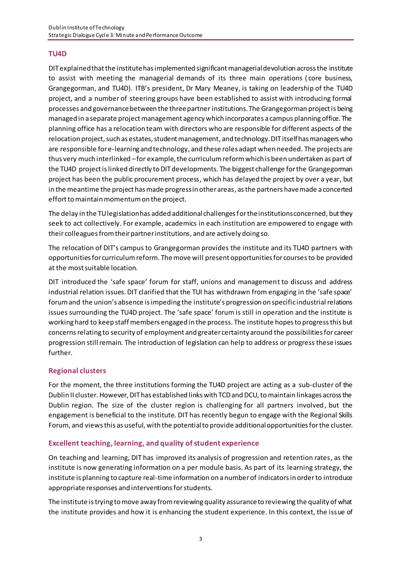#### **TU4D**

DIT explained that the institute has implemented significant managerial devolution across the institute to assist with meeting the managerial demands of its three main operations ( core business, Grangegorman, and TU4D). ITB's president, Dr Mary Meaney, is taking on leadership of the TU4D project, and a number of steering groups have been established to assist with introducing formal processes and governance between the three partnerinstitutions. The Grangegorman project is being managed in a separate project management agency which incorporates a campus planning office. The planning office has a relocation team with directors who are responsible for different aspects of the relocation project, such as estates, student management, and technology. DIT itself has managers who are responsible for e-learning and technology, and these roles adapt when needed. The projects are thus very much interlinked –for example, the curriculum reform which is been undertaken as part of the TU4D project is linked directly to DIT developments. The biggest challenge for the Grangegorman project has been the public procurement process, which has delayed the project by over a year, but in the meantime the project has made progress in other areas, as the partners have made a concerted effort to maintain momentum on the project.

The delay in the TU legislation has added additional challenges for the institutions concerned, but they seek to act collectively. For example, academics in each institution are empowered to engage with their colleagues from their partner institutions, and are actively doing so.

The relocation of DIT's campus to Grangegorman provides the institute and its TU4D partners with opportunities for curriculum reform. The move will present opportunities for courses to be provided at the most suitable location.

DIT introduced the 'safe space' forum for staff, unions and management to discuss and address industrial relation issues. DIT clarified that the TUI has withdrawn from engaging in the 'safe space' forum and the union's absence is impeding the institute's progression on specific industrial relations issues surrounding the TU4D project. The 'safe space' forum is still in operation and the institute is working hard to keep staff members engaged in the process. The institute hopesto progress this but concerns relating to security of employment and greater certainty around the possibilities for career progression still remain. The introduction of legislation can help to address or progress these issues further.

#### **Regional clusters**

For the moment, the three institutions forming the TU4D project are acting as a sub-cluster of the Dublin II cluster. However, DIT has established links with TCD and DCU, to maintain linkages across the Dublin region. The size of the cluster region is challenging for all partners involved, but the engagement is beneficial to the institute. DIT has recently begun to engage with the Regional Skills Forum, and viewsthis as useful, with the potential to provide additional opportunities for the cluster.

#### **Excellent teaching, learning, and quality of student experience**

On teaching and learning, DIT has improved its analysis of progression and retention rates, as the institute is now generating information on a per module basis. As part of its learning strategy, the institute is planning to capture real-time information on a number of indicators in order to introduce appropriate responses and interventions for students.

The institute is trying to move away from reviewing quality assurance to reviewing the quality of what the institute provides and how it is enhancing the student experience. In this context, the issue of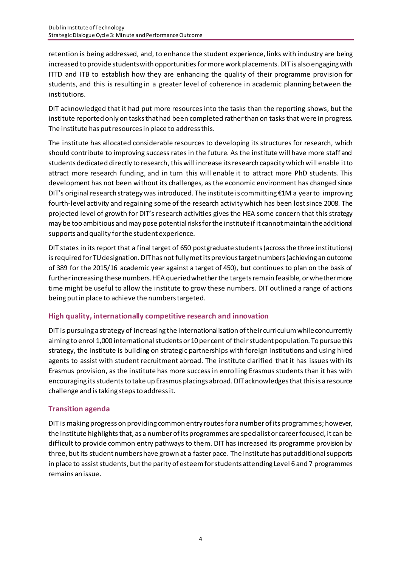retention is being addressed, and, to enhance the student experience, links with industry are being increased to provide students with opportunities formore work placements. DIT is also engaging with ITTD and ITB to establish how they are enhancing the quality of their programme provision for students, and this is resulting in a greater level of coherence in academic planning between the institutions.

DIT acknowledged that it had put more resources into the tasks than the reporting shows, but the institute reported only on tasks that had been completed rather than on tasks that were in progress. The institute has put resources in place to address this.

The institute has allocated considerable resources to developing its structures for research, which should contribute to improving success rates in the future. As the institute will have more staff and students dedicated directly to research, this will increase its research capacity which will enable it to attract more research funding, and in turn this will enable it to attract more PhD students. This development has not been without its challenges, as the economic environment has changed since DIT's original research strategy was introduced. The institute is committing €1M a year to improving fourth-level activity and regaining some of the research activity which has been lostsince 2008. The projected level of growth for DIT's research activities gives the HEA some concern that this strategy may be too ambitious and may pose potential risksforthe instituteif it cannot maintain the additional supports and quality for the student experience.

DIT states in its report that a final target of 650 postgraduate students (across the three institutions) is required for TU designation. DIT has not fully met its previous target numbers (achieving an outcome of 389 for the 2015/16 academic year against a target of 450), but continues to plan on the basis of further increasing these numbers. HEA queried whether the targets remain feasible, or whether more time might be useful to allow the institute to grow these numbers. DIT outlined a range of actions being put in place to achieve the numbers targeted.

#### **High quality, internationally competitive research and innovation**

DIT is pursuing a strategy of increasing the internationalisation of their curriculum while concurrently aiming to enrol 1,000 international students or 10 per cent of their student population. To pursue this strategy, the institute is building on strategic partnerships with foreign institutions and using hired agents to assist with student recruitment abroad. The institute clarified that it has issues with its Erasmus provision, as the institute has more success in enrolling Erasmus students than it has with encouraging its students to take up Erasmus placings abroad. DIT acknowledges thatthis is a resource challenge and is taking steps to address it.

## **Transition agenda**

DIT is making progress on providing common entry routes for a number of its programme s; however, the institute highlights that, as a number of its programmes are specialist or career focused, it can be difficult to provide common entry pathways to them. DIT has increased its programme provision by three, but its student numbers have grown at a fasterpace. The institute has put additional supports in place to assist students, but the parity of esteem for students attending Level 6 and 7 programmes remains an issue.